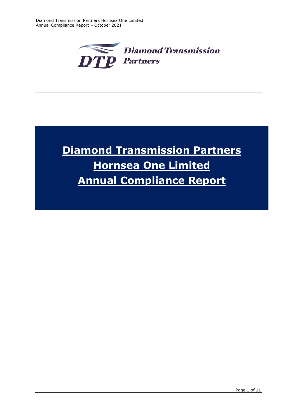

# **Diamond Transmission Partners Hornsea One Limited Annual Compliance Report**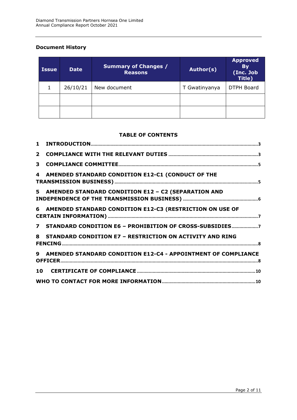# **Document History**

| <b>Issue</b> | <b>Date</b> | <b>Summary of Changes /</b><br><b>Reasons</b> | Author(s)     | <b>Approved</b><br><b>By</b><br>(Inc. Job<br>Title) |
|--------------|-------------|-----------------------------------------------|---------------|-----------------------------------------------------|
|              | 26/10/21    | New document                                  | T Gwatinyanya | <b>DTPH Board</b>                                   |
|              |             |                                               |               |                                                     |
|              |             |                                               |               |                                                     |

#### **TABLE OF CONTENTS**

| $\mathbf{2}$ |                                                                 |
|--------------|-----------------------------------------------------------------|
| 3            |                                                                 |
|              | 4 AMENDED STANDARD CONDITION E12-C1 (CONDUCT OF THE             |
|              | 5 AMENDED STANDARD CONDITION E12 - C2 (SEPARATION AND           |
|              | 6 AMENDED STANDARD CONDITION E12-C3 (RESTRICTION ON USE OF      |
|              | 7 STANDARD CONDITION E6 - PROHIBITION OF CROSS-SUBSIDIES7       |
|              | 8 STANDARD CONDITION E7 - RESTRICTION ON ACTIVITY AND RING      |
|              | 9 AMENDED STANDARD CONDITION E12-C4 - APPOINTMENT OF COMPLIANCE |
|              |                                                                 |
|              |                                                                 |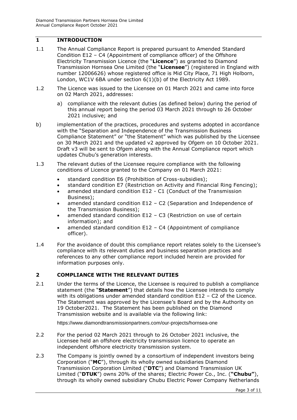## <span id="page-2-0"></span>**1 INTRODUCTION**

- 1.1 The Annual Compliance Report is prepared pursuant to Amended Standard Condition E12 – C4 (Appointment of compliance officer) of the Offshore Electricity Transmission Licence (the "**Licence**") as granted to Diamond Transmission Hornsea One Limited (the "**Licensee**") (registered in England with number 12006626) whose registered office is Mid City Place, 71 High Holborn, London, WC1V 6BA under section 6(1)(b) of the Electricity Act 1989.
- 1.2 The Licence was issued to the Licensee on 01 March 2021 and came into force on 02 March 2021, addresses:
	- a) compliance with the relevant duties (as defined below) during the period of this annual report being the period 03 March 2021 through to 26 October 2021 inclusive; and
- b) implementation of the practices, procedures and systems adopted in accordance with the "Separation and Independence of the Transmission Business Compliance Statement" or "the Statement" which was published by the Licensee on 30 March 2021 and the updated v2 approved by Ofgem on 10 October 2021. Draft v3 will be sent to Ofgem along with the Annual Compliance report which updates Chubu's generation interests.
- 1.3 The relevant duties of the Licensee require compliance with the following conditions of Licence granted to the Company on 01 March 2021:
	- standard condition E6 (Prohibition of Cross-subsidies);
	- standard condition E7 (Restriction on Activity and Financial Ring Fencing);
	- amended standard condition E12 C1 (Conduct of the Transmission Business);
	- amended standard condition E12 C2 (Separation and Independence of the Transmission Business);
	- amended standard condition E12 C3 (Restriction on use of certain information); and
	- amended standard condition E12 C4 (Appointment of compliance officer).
- 1.4 For the avoidance of doubt this compliance report relates solely to the Licensee's compliance with its relevant duties and business separation practices and references to any other compliance report included herein are provided for information purposes only.

#### <span id="page-2-1"></span>**2 COMPLIANCE WITH THE RELEVANT DUTIES**

2.1 Under the terms of the Licence, the Licensee is required to publish a compliance statement (the "**Statement**") that details how the Licensee intends to comply with its obligations under amended standard condition E12 – C2 of the Licence. The Statement was approved by the Licensee's Board and by the Authority on 19 October2021. The Statement has been published on the Diamond Transmission website and is available via the following link:

https://www.diamondtransmissionpartners.com/our-projects/hornsea-one

- 2.2 For the period 02 March 2021 through to 26 October 2021 inclusive, the Licensee held an offshore electricity transmission licence to operate an independent offshore electricity transmission system.
- 2.3 The Company is jointly owned by a consortium of independent investors being Corporation ("**MC**"), through its wholly owned subsidiaries Diamond Transmission Corporation Limited ("**DTC**") and Diamond Transmission UK Limited ("**DTUK**") owns 20% of the shares; Electric Power Co., Inc. (**"Chubu"**), through its wholly owned subsidiary Chubu Electric Power Company Netherlands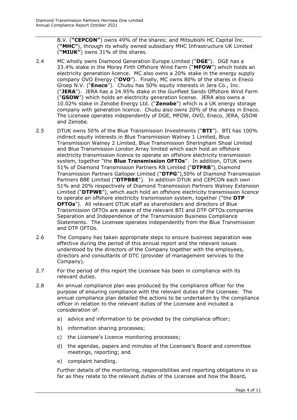B.V. (**"CEPCON"**) owns 49% of the shares; and Mitsubishi HC Capital Inc. (**"MHC"**), through its wholly owned subsidiary MHC Infrastructure UK Limited (**"MIUK"**) owns 31% of the shares.

- 2.4 MC wholly owns Diamond Generation Europe Limited ("**DGE**"). DGE has a 33.4% stake in the Moray Firth Offshore Wind Farm ("**MFOW**") which holds an electricity generation licence. MC also owns a 20% stake in the energy supply company OVO Energy ("**OVO**"). Finally, MC owns 80% of the shares in Eneco Groep N.V. ("**Eneco**"). Chubu has 50% equity interests in Jera Co., Inc. ("**JERA**"). JERA has a 24.95% stake in the Gunfleet Sands Offshore Wind Farm ("**GSOW**") which holds an electricity generation license. JERA also owns a 10.02% stake in Zenobe Energy Ltd. ("**Zenobe**") which is a UK energy storage company with generation licence. Chubu also owns 20% of the shares in Eneco. The Licensee operates independently of DGE, MFOW, OVO, Eneco, JERA, GSOW and Zenobe.
- 2.5 DTUK owns 50% of the Blue Transmission Investments ("**BTI**"). BTI has 100% indirect equity interests in Blue Transmission Walney 1 Limited, Blue Transmission Walney 2 Limited, Blue Transmission Sheringham Shoal Limited and Blue Transmission London Array limited which each hold an offshore electricity transmission licence to operate an offshore electricity transmission system, together "the **Blue Transmission OFTOs**". In addition, DTUK owns 51% of Diamond Transmission Partners RB Limited ("**DTPRB**"), Diamond Transmission Partners Galloper Limited ("**DTPG**"),50% of Diamond Transmission Partners BBE Limited ("**DTPBBE**"). In addition DTUK and CEPCON each own 51% and 20% respectively of Diamond Transmission Partners Walney Extension Limited ("**DTPWE**"), which each hold an offshore electricity transmission licence to operate an offshore electricity transmission system, together ("the **DTP OFTOs**"). All relevant DTUK staff as shareholders and directors of Blue Transmission OFTOs are aware of the relevant BTI and DTP OFTOs companies Separation and Independence of the Transmission Business Compliance Statements. The Licensee operates independently from the Blue Transmission and DTP OFTOs.
- 2.6 The Company has taken appropriate steps to ensure business separation was effective during the period of this annual report and the relevant issues understood by the directors of the Company together with the employees, directors and consultants of DTC (provider of management services to the Company).
- 2.7 For the period of this report the Licensee has been in compliance with its relevant duties.
- 2.8 An annual compliance plan was produced by the compliance officer for the purpose of ensuring compliance with the relevant duties of the Licensee. The annual compliance plan detailed the actions to be undertaken by the compliance officer in relation to the relevant duties of the Licensee and included a consideration of:
	- a) advice and information to be provided by the compliance officer;
	- b) information sharing processes;
	- c) the Licensee's Licence monitoring processes;
	- d) the agendas, papers and minutes of the Licensee's Board and committee meetings, reporting; and
	- e) complaint handling.

Further details of the monitoring, responsibilities and reporting obligations in so far as they relate to the relevant duties of the Licensee and how the Board,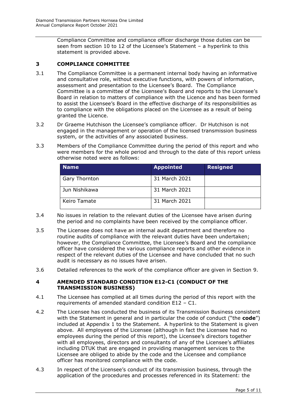Compliance Committee and compliance officer discharge those duties can be seen from section 10 to 12 of the Licensee's Statement – a hyperlink to this statement is provided above.

## <span id="page-4-0"></span>**3 COMPLIANCE COMMITTEE**

- 3.1 The Compliance Committee is a permanent internal body having an informative and consultative role, without executive functions, with powers of information, assessment and presentation to the Licensee's Board. The Compliance Committee is a committee of the Licensee's Board and reports to the Licensee's Board in relation to matters of compliance with the Licence and has been formed to assist the Licensee's Board in the effective discharge of its responsibilities as to compliance with the obligations placed on the Licensee as a result of being granted the Licence.
- 3.2 Dr Graeme Hutchison the Licensee's compliance officer. Dr Hutchison is not engaged in the management or operation of the licensed transmission business system, or the activities of any associated business.
- 3.3 Members of the Compliance Committee during the period of this report and who were members for the whole period and through to the date of this report unless otherwise noted were as follows:

| <b>Name</b>          | <b>Appointed</b> | <b>Resigned</b> |
|----------------------|------------------|-----------------|
| <b>Gary Thornton</b> | 31 March 2021    |                 |
| Jun Nishikawa        | 31 March 2021    |                 |
| Keiro Tamate         | 31 March 2021    |                 |

- 3.4 No issues in relation to the relevant duties of the Licensee have arisen during the period and no complaints have been received by the compliance officer.
- 3.5 The Licensee does not have an internal audit department and therefore no routine audits of compliance with the relevant duties have been undertaken; however, the Compliance Committee, the Licensee's Board and the compliance officer have considered the various compliance reports and other evidence in respect of the relevant duties of the Licensee and have concluded that no such audit is necessary as no issues have arisen.
- 3.6 Detailed references to the work of the compliance officer are given in Section 9.

#### <span id="page-4-1"></span>**4 AMENDED STANDARD CONDITION E12-C1 (CONDUCT OF THE TRANSMISSION BUSINESS)**

- 4.1 The Licensee has complied at all times during the period of this report with the requirements of amended standard condition E12 – C1.
- 4.2 The Licensee has conducted the business of its Transmission Business consistent with the Statement in general and in particular the code of conduct ("the **code**") included at Appendix 1 to the Statement. A hyperlink to the Statement is given above. All employees of the Licensee (although in fact the Licensee had no employees during the period of this report), the Licensee's directors together with all employees, directors and consultants of any of the Licensee's affiliates including DTUK that are engaged in providing management services to the Licensee are obliged to abide by the code and the Licensee and compliance officer has monitored compliance with the code.
- 4.3 In respect of the Licensee's conduct of its transmission business, through the application of the procedures and processes referenced in its Statement: the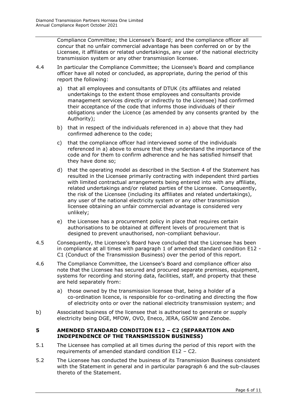Compliance Committee; the Licensee's Board; and the compliance officer all concur that no unfair commercial advantage has been conferred on or by the Licensee, it affiliates or related undertakings, any user of the national electricity transmission system or any other transmission licensee.

- 4.4 In particular the Compliance Committee; the Licensee's Board and compliance officer have all noted or concluded, as appropriate, during the period of this report the following:
	- a) that all employees and consultants of DTUK (its affiliates and related undertakings to the extent those employees and consultants provide management services directly or indirectly to the Licensee) had confirmed their acceptance of the code that informs those individuals of their obligations under the Licence (as amended by any consents granted by the Authority);
	- b) that in respect of the individuals referenced in a) above that they had confirmed adherence to the code;
	- c) that the compliance officer had interviewed some of the individuals referenced in a) above to ensure that they understand the importance of the code and for them to confirm adherence and he has satisfied himself that they have done so;
	- d) that the operating model as described in the Section 4 of the Statement has resulted in the Licensee primarily contracting with independent third parties with limited contractual arrangements being entered into with any affiliate, related undertakings and/or related parties of the Licensee. Consequently, the risk of the Licensee (including its affiliates and related undertakings), any user of the national electricity system or any other transmission licensee obtaining an unfair commercial advantage is considered very unlikely;
	- e) the Licensee has a procurement policy in place that requires certain authorisations to be obtained at different levels of procurement that is designed to prevent unauthorised, non-compliant behaviour.
- 4.5 Consequently, the Licensee's Board have concluded that the Licensee has been in compliance at all times with paragraph 1 of amended standard condition E12 - C1 (Conduct of the Transmission Business) over the period of this report.
- 4.6 The Compliance Committee, the Licensee's Board and compliance officer also note that the Licensee has secured and procured separate premises, equipment, systems for recording and storing data, facilities, staff, and property that these are held separately from:
	- a) those owned by the transmission licensee that, being a holder of a co-ordination licence, is responsible for co-ordinating and directing the flow of electricity onto or over the national electricity transmission system; and
- b) Associated business of the licensee that is authorised to generate or supply electricity being DGE, MFOW, OVO, Eneco, JERA, GSOW and Zenobe.

#### <span id="page-5-0"></span>**5 AMENDED STANDARD CONDITION E12 – C2 (SEPARATION AND INDEPENDENCE OF THE TRANSMISSION BUSINESS)**

- 5.1 The Licensee has complied at all times during the period of this report with the requirements of amended standard condition E12 – C2.
- 5.2 The Licensee has conducted the business of its Transmission Business consistent with the Statement in general and in particular paragraph 6 and the sub-clauses thereto of the Statement.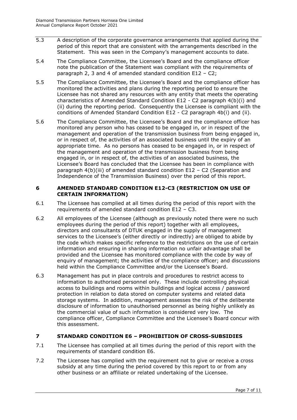- 5.3 A description of the corporate governance arrangements that applied during the period of this report that are consistent with the arrangements described in the Statement. This was seen in the Company's management accounts to date.
- 5.4 The Compliance Committee, the Licensee's Board and the compliance officer note the publication of the Statement was compliant with the requirements of paragraph 2, 3 and 4 of amended standard condition E12 – C2;
- 5.5 The Compliance Committee, the Licensee's Board and the compliance officer has monitored the activities and plans during the reporting period to ensure the Licensee has not shared any resources with any entity that meets the operating characteristics of Amended Standard Condition E12 - C2 paragraph 4(b)(i) and (ii) during the reporting period. Consequently the Licensee is compliant with the conditions of Amended Standard Condition E12 - C2 paragraph 4b(i) and (ii).
- 5.6 The Compliance Committee, the Licensee's Board and the compliance officer has monitored any person who has ceased to be engaged in, or in respect of the management and operation of the transmission business from being engaged in, or in respect of, the activities of an associated business until the expiry of an appropriate time. As no persons has ceased to be engaged in, or in respect of the management and operation of the transmission business from being engaged in, or in respect of, the activities of an associated business, the Licensee's Board has concluded that the Licensee has been in compliance with paragraph 4(b)(iii) of amended standard condition E12 – C2 (Separation and Independence of the Transmission Business) over the period of this report.

#### <span id="page-6-0"></span>**6 AMENDED STANDARD CONDITION E12-C3 (RESTRICTION ON USE OF CERTAIN INFORMATION)**

- 6.1 The Licensee has complied at all times during the period of this report with the requirements of amended standard condition E12 – C3.
- 6.2 All employees of the Licensee (although as previously noted there were no such employees during the period of this report) together with all employees, directors and consultants of DTUK engaged in the supply of management services to the Licensee's (either directly or indirectly) are obliged to abide by the code which makes specific reference to the restrictions on the use of certain information and ensuring in sharing information no unfair advantage shall be provided and the Licensee has monitored compliance with the code by way of enquiry of management; the activities of the compliance officer; and discussions held within the Compliance Committee and/or the Licensee's Board.
- 6.3 Management has put in place controls and procedures to restrict access to information to authorised personnel only. These include controlling physical access to buildings and rooms within buildings and logical access / password protection in relation to data stored on computer systems and related data storage systems. In addition, management assesses the risk of the deliberate disclosure of information to unauthorised personnel as being highly unlikely as the commercial value of such information is considered very low. The compliance officer, Compliance Committee and the Licensee's Board concur with this assessment.

#### <span id="page-6-1"></span>**7 STANDARD CONDITION E6 – PROHIBITION OF CROSS-SUBSIDIES**

- 7.1 The Licensee has complied at all times during the period of this report with the requirements of standard condition E6.
- 7.2 The Licensee has complied with the requirement not to give or receive a cross subsidy at any time during the period covered by this report to or from any other business or an affiliate or related undertaking of the Licensee.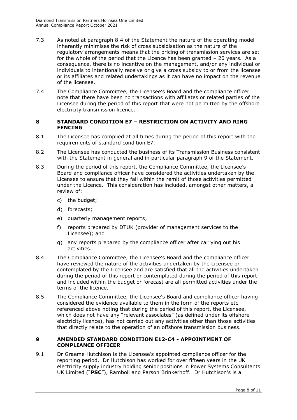- 7.3 As noted at paragraph 8.4 of the Statement the nature of the operating model inherently minimises the risk of cross subsidisation as the nature of the regulatory arrangements means that the pricing of transmission services are set for the whole of the period that the Licence has been granted – 20 years. As a consequence, there is no incentive on the management, and/or any individual or individuals to intentionally receive or give a cross subsidy to or from the licensee or its affiliates and related undertakings as it can have no impact on the revenue of the licensee.
- 7.4 The Compliance Committee, the Licensee's Board and the compliance officer note that there have been no transactions with affiliates or related parties of the Licensee during the period of this report that were not permitted by the offshore electricity transmission licence.

#### <span id="page-7-0"></span>**8 STANDARD CONDITION E7 – RESTRICTION ON ACTIVITY AND RING FENCING**

- 8.1 The Licensee has complied at all times during the period of this report with the requirements of standard condition E7.
- 8.2 The Licensee has conducted the business of its Transmission Business consistent with the Statement in general and in particular paragraph 9 of the Statement.
- 8.3 During the period of this report, the Compliance Committee, the Licensee's Board and compliance officer have considered the activities undertaken by the Licensee to ensure that they fall within the remit of those activities permitted under the Licence. This consideration has included, amongst other matters, a review of:
	- c) the budget;
	- d) forecasts;
	- e) quarterly management reports;
	- f) reports prepared by DTUK (provider of management services to the Licensee); and
	- g) any reports prepared by the compliance officer after carrying out his activities.
- 8.4 The Compliance Committee, the Licensee's Board and the compliance officer have reviewed the nature of the activities undertaken by the Licensee or contemplated by the Licensee and are satisfied that all the activities undertaken during the period of this report or contemplated during the period of this report and included within the budget or forecast are all permitted activities under the terms of the licence.
- 8.5 The Compliance Committee, the Licensee's Board and compliance officer having considered the evidence available to them in the form of the reports etc. referenced above noting that during the period of this report, the Licensee, which does not have any "relevant associates" (as defined under its offshore electricity licence), has not carried out any activities other than those activities that directly relate to the operation of an offshore transmission business.

#### <span id="page-7-1"></span>**9 AMENDED STANDARD CONDITION E12-C4 - APPOINTMENT OF COMPLIANCE OFFICER**

9.1 Dr Graeme Hutchison is the Licensee's appointed compliance officer for the reporting period. Dr Hutchison has worked for over fifteen years in the UK electricity supply industry holding senior positions in Power Systems Consultants UK Limited ("**PSC**"), Ramboll and Parson Brinkerhoff. Dr Hutchison's is a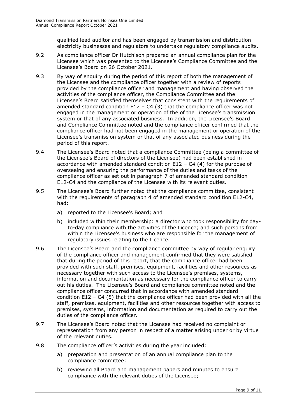qualified lead auditor and has been engaged by transmission and distribution electricity businesses and regulators to undertake regulatory compliance audits.

- 9.2 As compliance officer Dr Hutchison prepared an annual compliance plan for the Licensee which was presented to the Licensee's Compliance Committee and the Licensee's Board on 26 October 2021.
- 9.3 By way of enquiry during the period of this report of both the management of the Licensee and the compliance officer together with a review of reports provided by the compliance officer and management and having observed the activities of the compliance officer, the Compliance Committee and the Licensee's Board satisfied themselves that consistent with the requirements of amended standard condition  $E12 - C4$  (3) that the compliance officer was not engaged in the management or operation of the of the Licensee's transmission system or that of any associated business. In addition, the Licensee's Board and Compliance Committee noted and the compliance officer confirmed that the compliance officer had not been engaged in the management or operation of the Licensee's transmission system or that of any associated business during the period of this report.
- 9.4 The Licensee's Board noted that a compliance Committee (being a committee of the Licensee's Board of directors of the Licensee) had been established in accordance with amended standard condition  $E12 - C4$  (4) for the purpose of overseeing and ensuring the performance of the duties and tasks of the compliance officer as set out in paragraph 7 of amended standard condition E12-C4 and the compliance of the Licensee with its relevant duties.
- 9.5 The Licensee's Board further noted that the compliance committee, consistent with the requirements of paragraph 4 of amended standard condition E12-C4, had:
	- a) reported to the Licensee's Board; and
	- b) included within their membership: a director who took responsibility for dayto-day compliance with the activities of the Licence; and such persons from within the Licensee's business who are responsible for the management of regulatory issues relating to the Licence.
- 9.6 The Licensee's Board and the compliance committee by way of regular enquiry of the compliance officer and management confirmed that they were satisfied that during the period of this report, that the compliance officer had been provided with such staff, premises, equipment, facilities and other resources as necessary together with such access to the Licensee's premises, systems, information and documentation as necessary for the compliance officer to carry out his duties. The Licensee's Board and compliance committee noted and the compliance officer concurred that in accordance with amended standard condition E12 – C4 (5) that the compliance officer had been provided with all the staff, premises, equipment, facilities and other resources together with access to premises, systems, information and documentation as required to carry out the duties of the compliance officer.
- 9.7 The Licensee's Board noted that the Licensee had received no complaint or representation from any person in respect of a matter arising under or by virtue of the relevant duties.
- 9.8 The compliance officer's activities during the year included:
	- a) preparation and presentation of an annual compliance plan to the compliance committee;
	- b) reviewing all Board and management papers and minutes to ensure compliance with the relevant duties of the Licensee;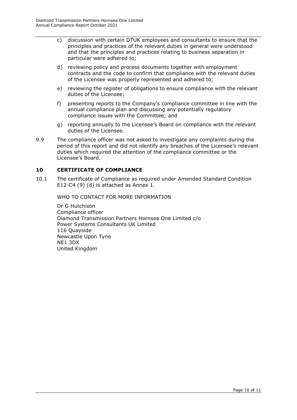- c) discussion with certain DTUK employees and consultants to ensure that the principles and practices of the relevant duties in general were understood and that the principles and practices relating to business separation in particular were adhered to;
- d) reviewing policy and process documents together with employment contracts and the code to confirm that compliance with the relevant duties of the Licensee was properly represented and adhered to;
- e) reviewing the register of obligations to ensure compliance with the relevant duties of the Licensee;
- f) presenting reports to the Company's compliance committee in line with the annual compliance plan and discussing any potentially regulatory compliance issues with the Committee; and
- g) reporting annually to the Licensee's Board on compliance with the relevant duties of the Licensee.
- 9.9 The compliance officer was not asked to investigate any complaints during the period of this report and did not identify any breaches of the Licensee's relevant duties which required the attention of the compliance committee or the Licensee's Board.

#### <span id="page-9-0"></span>**10 CERTIFICATE OF COMPLIANCE**

<span id="page-9-1"></span>10.1 The certificate of Compliance as required under Amended Standard Condition E12-C4 (9) (d) is attached as Annex 1.

WHO TO CONTACT FOR MORE INFORMATION

Dr G Hutchison Compliance officer Diamond Transmission Partners Hornsea One Limited c/o Power Systems Consultants UK Limited 116 Quayside Newcastle Upon Tyne NE1 3DX United Kingdom